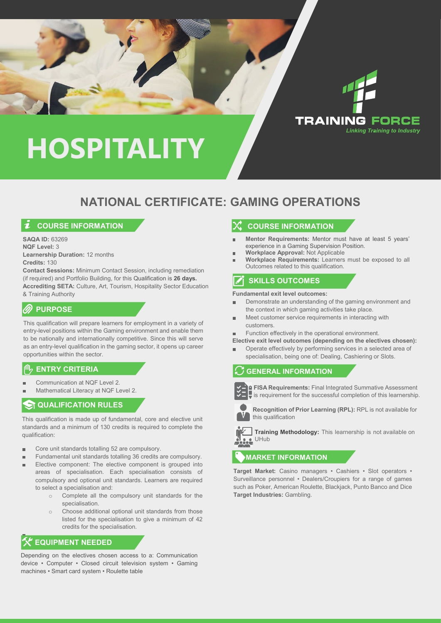

# **NATIONAL CERTIFICATE: GAMING OPERATIONS**

# **COURSE INFORMATION**

**SAQA ID:** 63269 **NQF Level:** 3 **Learnership Duration:** 12 months **Credits:** 130

**Contact Sessions:** Minimum Contact Session, including remediation (if required) and Portfolio Building, for this Qualification is **26 days. Accrediting SETA:** Culture, Art, Tourism, Hospitality Sector Education & Training Authority

# **PURPOSE**

This qualification will prepare learners for employment in a variety of entry-level positions within the Gaming environment and enable them to be nationally and internationally competitive. Since this will serve as an entry-level qualification in the gaming sector, it opens up career opportunities within the sector.

#### **ENTRY CRITERIA**

- Communication at NQF Level 2.
- Mathematical Literacy at NQF Level 2.

# **ST QUALIFICATION RULES**

This qualification is made up of fundamental, core and elective unit standards and a minimum of 130 credits is required to complete the qualification:

- Core unit standards totalling 52 are compulsory.  $\blacksquare$
- Fundamental unit standards totalling 36 credits are compulsory. Ē.
- Elective component: The elective component is grouped into areas of specialisation. Each specialisation consists of compulsory and optional unit standards. Learners are required to select a specialisation and:
	- o Complete all the compulsory unit standards for the specialisation.
	- o Choose additional optional unit standards from those listed for the specialisation to give a minimum of 42 credits for the specialisation.

# **K** EQUIPMENT NEEDED

Depending on the electives chosen access to a: Communication device • Computer • Closed circuit television system • Gaming machines • Smart card system • Roulette table

### **COURSE INFORMATION**

- **Mentor Requirements:** Mentor must have at least 5 years' experience in a Gaming Supervision Position.
- **Workplace Approval:** Not Applicable
- **Workplace Requirements:** Learners must be exposed to all Outcomes related to this qualification.

# **SKILLS OUTCOMES**

**Fundamental exit level outcomes:**

- Demonstrate an understanding of the gaming environment and r. the context in which gaming activities take place.
- Meet customer service requirements in interacting with customers.
- Function effectively in the operational environment.  $\blacksquare$

**Elective exit level outcomes (depending on the electives chosen):**

Operate effectively by performing services in a selected area of × specialisation, being one of: Dealing, Cashiering or Slots.

### **GENERAL INFORMATION**



**FISA Requirements:** Final Integrated Summative Assessment  $\blacktriangleright$  is requirement for the successful completion of this learnership.



**Recognition of Prior Learning (RPL):** RPL is not available for this qualification

**Training Methodology:** This learnership is not available on **CALC** UHub

### **MARKET INFORMATION**

**Target Market:** Casino managers • Cashiers • Slot operators • Surveillance personnel • Dealers/Croupiers for a range of games such as Poker, American Roulette, Blackjack, Punto Banco and Dice **Target Industries:** Gambling.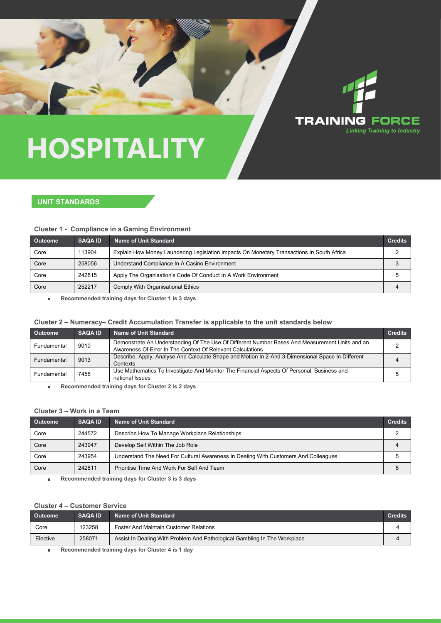

#### **UNIT STANDARDS**

#### **Cluster 1 - Compliance in a Gaming Environment**

| <b>Outcome</b> | <b>SAQA ID</b> | Name of Unit Standard                                                                     | <b>Credits</b> |
|----------------|----------------|-------------------------------------------------------------------------------------------|----------------|
| Core           | 113904         | Explain How Money Laundering Legislation Impacts On Monetary Transactions In South Africa |                |
| Core           | 258056         | Understand Compliance In A Casino Environment                                             |                |
| Core           | 242815         | Apply The Organisation's Code Of Conduct In A Work Environment                            |                |
| Core           | 252217         | Comply With Organisational Ethics                                                         |                |

**Recommended training days for Cluster 1 is 3 days** ×

#### **Cluster 2 – Numeracy– Credit Accumulation Transfer is applicable to the unit standards below**

| <b>Outcome</b> | <b>SAQA ID</b> | <b>Name of Unit Standard</b>                                                                                                                                 | <b>Credits</b> |
|----------------|----------------|--------------------------------------------------------------------------------------------------------------------------------------------------------------|----------------|
| Fundamental    | 9010           | Demonstrate An Understanding Of The Use Of Different Number Bases And Measurement Units and an<br>Awareness Of Error In The Context Of Relevant Calculations |                |
| Fundamental    | 9013           | Describe, Apply, Analyse And Calculate Shape and Motion In 2-And 3-Dimensional Space In Different<br>Contexts                                                | 4              |
| Fundamental    | 7456           | Use Mathematics To Investigate And Monitor The Financial Aspects Of Personal, Business and<br>national Issues                                                |                |

**Recommended training days for Cluster 2 is 2 days**  $\blacksquare$ 

### **Cluster 3 – Work in a Team**

| <b>Outcome</b> | <b>SAQA ID</b> | <b>Name of Unit Standard</b>                                                        | <b>Credits</b> |
|----------------|----------------|-------------------------------------------------------------------------------------|----------------|
| Core           | 244572         | Describe How To Manage Workplace Relationships                                      |                |
| Core           | 243947         | Develop Self Within The Job Role                                                    |                |
| Core           | 243954         | Understand The Need For Cultural Awareness In Dealing With Customers And Colleagues |                |
| Core           | 242811         | Prioritise Time And Work For Self And Team                                          |                |

**Recommended training days for Cluster 3 is 3 days**  $\blacksquare$ 

#### **Cluster 4 – Customer Service**

| <b>Outcome</b> | <b>SAQA ID</b> | <b>Name of Unit Standard</b>                                              | <b>Credits</b> |
|----------------|----------------|---------------------------------------------------------------------------|----------------|
| Core           | 123258         | <b>Foster And Maintain Customer Relations</b>                             |                |
| Elective       | 258071         | Assist In Dealing With Problem And Pathological Gambling In The Workplace |                |
|                |                | .                                                                         |                |

**Recommended training days for Cluster 4 is 1 day**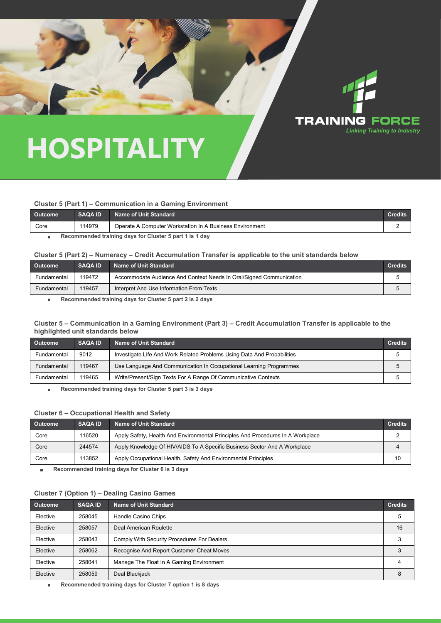

#### **Cluster 5 (Part 1) – Communication in a Gaming Environment**

| <b>Outcome</b> | <b>SAQA ID</b> | <b>Name of Unit Standard</b>                             | <b>Credits</b> |
|----------------|----------------|----------------------------------------------------------|----------------|
| Core           | 114979         | Operate A Computer Workstation In A Business Environment |                |
|                |                |                                                          |                |

**Recommended training days for Cluster 5 part 1 is 1 day**   $\blacksquare$ 

#### **Cluster 5 (Part 2) – Numeracy – Credit Accumulation Transfer is applicable to the unit standards below**

| <b>Outcome</b> | <b>SAQA ID</b> | Name of Unit Standard                                               | Credits |
|----------------|----------------|---------------------------------------------------------------------|---------|
| Fundamental    | 119472         | Accommodate Audience And Context Needs In Oral/Signed Communication |         |
| Fundamental    | 119457         | Interpret And Use Information From Texts                            |         |

**Recommended training days for Cluster 5 part 2 is 2 days** ×

#### **Cluster 5 – Communication in a Gaming Environment (Part 3) – Credit Accumulation Transfer is applicable to the highlighted unit standards below**

| <b>Outcome</b> | <b>SAQA ID</b> | <b>Name of Unit Standard</b>                                            | <b>Credits</b> |
|----------------|----------------|-------------------------------------------------------------------------|----------------|
| Fundamental    | 9012           | Investigate Life And Work Related Problems Using Data And Probabilities |                |
| Fundamental    | 119467         | Use Language And Communication In Occupational Learning Programmes      |                |
| Fundamental    | 119465         | Write/Present/Sign Texts For A Range Of Communicative Contexts          |                |

**Recommended training days for Cluster 5 part 3 is 3 days**  $\blacksquare$ 

#### **Cluster 6 – Occupational Health and Safety**

| <b>Outcome</b> | <b>SAQA ID</b> | Name of Unit Standard                                                           | <b>Credits</b> |
|----------------|----------------|---------------------------------------------------------------------------------|----------------|
| Core           | 116520         | Apply Safety, Health And Environmental Principles And Procedures In A Workplace |                |
| Core           | 244574         | Apply Knowledge Of HIV/AIDS To A Specific Business Sector And A Workplace       |                |
| Core           | 113852         | Apply Occupational Health, Safety And Environmental Principles                  | 10             |

**Recommended training days for Cluster 6 is 3 days**  $\blacksquare$ 

#### **Cluster 7 (Option 1) – Dealing Casino Games**

| <b>Outcome</b> | <b>SAQA ID</b> | <b>Name of Unit Standard</b>                | <b>Credits</b> |
|----------------|----------------|---------------------------------------------|----------------|
| Elective       | 258045         | Handle Casino Chips                         |                |
| Elective       | 258057         | Deal American Roulette                      | 16             |
| Elective       | 258043         | Comply With Security Procedures For Dealers |                |
| Elective       | 258062         | Recognise And Report Customer Cheat Moves   |                |
| Elective       | 258041         | Manage The Float In A Gaming Environment    |                |
| Elective       | 258059         | Deal Blackjack                              |                |

**Recommended training days for Cluster 7 option 1 is 8 days**